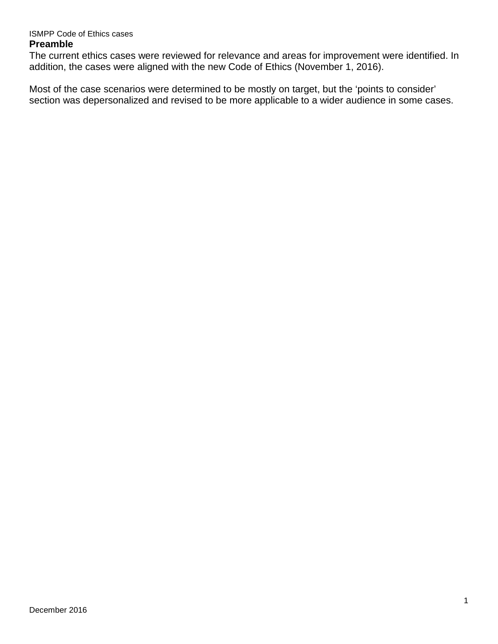# ISMPP Code of Ethics cases

# **Preamble**

The current ethics cases were reviewed for relevance and areas for improvement were identified. In addition, the cases were aligned with the new Code of Ethics (November 1, 2016).

Most of the case scenarios were determined to be mostly on target, but the 'points to consider' section was depersonalized and revised to be more applicable to a wider audience in some cases.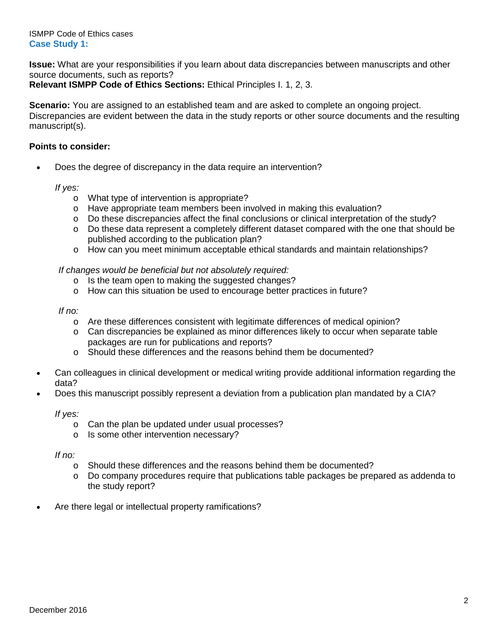ISMPP Code of Ethics cases **Case Study 1:**

**Issue:** What are your responsibilities if you learn about data discrepancies between manuscripts and other source documents, such as reports?

**Relevant ISMPP Code of Ethics Sections:** Ethical Principles I. 1, 2, 3.

**Scenario:** You are assigned to an established team and are asked to complete an ongoing project. Discrepancies are evident between the data in the study reports or other source documents and the resulting manuscript(s).

### **Points to consider:**

• Does the degree of discrepancy in the data require an intervention?

### *If yes:*

- o What type of intervention is appropriate?
- o Have appropriate team members been involved in making this evaluation?
- o Do these discrepancies affect the final conclusions or clinical interpretation of the study?
- $\circ$  Do these data represent a completely different dataset compared with the one that should be published according to the publication plan?
- o How can you meet minimum acceptable ethical standards and maintain relationships?

*If changes would be beneficial but not absolutely required:*

- o Is the team open to making the suggested changes?
- o How can this situation be used to encourage better practices in future?

### *If no:*

- o Are these differences consistent with legitimate differences of medical opinion?
- o Can discrepancies be explained as minor differences likely to occur when separate table packages are run for publications and reports?
- o Should these differences and the reasons behind them be documented?
- Can colleagues in clinical development or medical writing provide additional information regarding the data?
- Does this manuscript possibly represent a deviation from a publication plan mandated by a CIA?

### *If yes:*

- o Can the plan be updated under usual processes?
- o Is some other intervention necessary?

### *If no:*

- o Should these differences and the reasons behind them be documented?
- o Do company procedures require that publications table packages be prepared as addenda to the study report?
- Are there legal or intellectual property ramifications?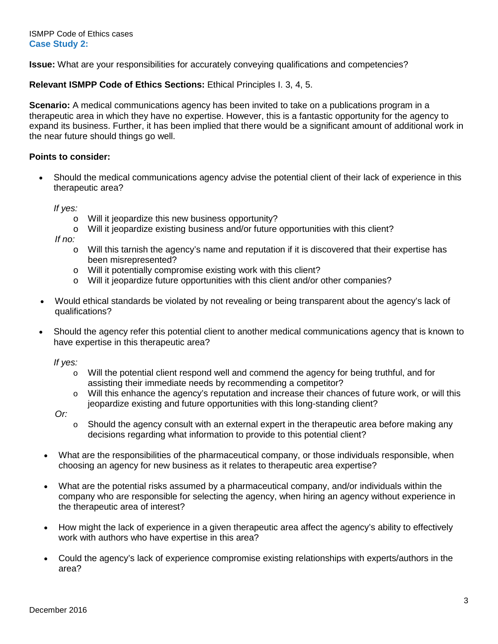ISMPP Code of Ethics cases **Case Study 2:**

**Issue:** What are your responsibilities for accurately conveying qualifications and competencies?

# **Relevant ISMPP Code of Ethics Sections:** Ethical Principles I. 3, 4, 5.

**Scenario:** A medical communications agency has been invited to take on a publications program in a therapeutic area in which they have no expertise. However, this is a fantastic opportunity for the agency to expand its business. Further, it has been implied that there would be a significant amount of additional work in the near future should things go well.

# **Points to consider:**

• Should the medical communications agency advise the potential client of their lack of experience in this therapeutic area?

### *If yes:*

- o Will it jeopardize this new business opportunity?
- o Will it jeopardize existing business and/or future opportunities with this client?

*If no:*

- o Will this tarnish the agency's name and reputation if it is discovered that their expertise has been misrepresented?
- o Will it potentially compromise existing work with this client?
- o Will it jeopardize future opportunities with this client and/or other companies?
- Would ethical standards be violated by not revealing or being transparent about the agency's lack of qualifications?
- Should the agency refer this potential client to another medical communications agency that is known to have expertise in this therapeutic area?

*If yes:*

- $\circ$  Will the potential client respond well and commend the agency for being truthful, and for assisting their immediate needs by recommending a competitor?
- o Will this enhance the agency's reputation and increase their chances of future work, or will this jeopardize existing and future opportunities with this long-standing client?

*Or:*

- $\circ$  Should the agency consult with an external expert in the therapeutic area before making any decisions regarding what information to provide to this potential client?
- What are the responsibilities of the pharmaceutical company, or those individuals responsible, when choosing an agency for new business as it relates to therapeutic area expertise?
- What are the potential risks assumed by a pharmaceutical company, and/or individuals within the company who are responsible for selecting the agency, when hiring an agency without experience in the therapeutic area of interest?
- How might the lack of experience in a given therapeutic area affect the agency's ability to effectively work with authors who have expertise in this area?
- Could the agency's lack of experience compromise existing relationships with experts/authors in the area?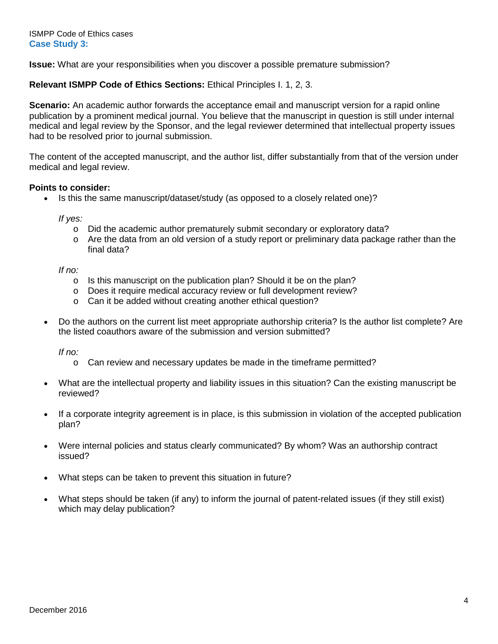**Issue:** What are your responsibilities when you discover a possible premature submission?

# **Relevant ISMPP Code of Ethics Sections:** Ethical Principles I. 1, 2, 3.

**Scenario:** An academic author forwards the acceptance email and manuscript version for a rapid online publication by a prominent medical journal. You believe that the manuscript in question is still under internal medical and legal review by the Sponsor, and the legal reviewer determined that intellectual property issues had to be resolved prior to journal submission.

The content of the accepted manuscript, and the author list, differ substantially from that of the version under medical and legal review.

### **Points to consider:**

• Is this the same manuscript/dataset/study (as opposed to a closely related one)?

*If yes:*

- o Did the academic author prematurely submit secondary or exploratory data?
- $\circ$  Are the data from an old version of a study report or preliminary data package rather than the final data?

#### *If no:*

- o Is this manuscript on the publication plan? Should it be on the plan?
- o Does it require medical accuracy review or full development review?
- o Can it be added without creating another ethical question?
- Do the authors on the current list meet appropriate authorship criteria? Is the author list complete? Are the listed coauthors aware of the submission and version submitted?

*If no:*

- $\circ$  Can review and necessary updates be made in the time frame permitted?
- What are the intellectual property and liability issues in this situation? Can the existing manuscript be reviewed?
- If a corporate integrity agreement is in place, is this submission in violation of the accepted publication plan?
- Were internal policies and status clearly communicated? By whom? Was an authorship contract issued?
- What steps can be taken to prevent this situation in future?
- What steps should be taken (if any) to inform the journal of patent-related issues (if they still exist) which may delay publication?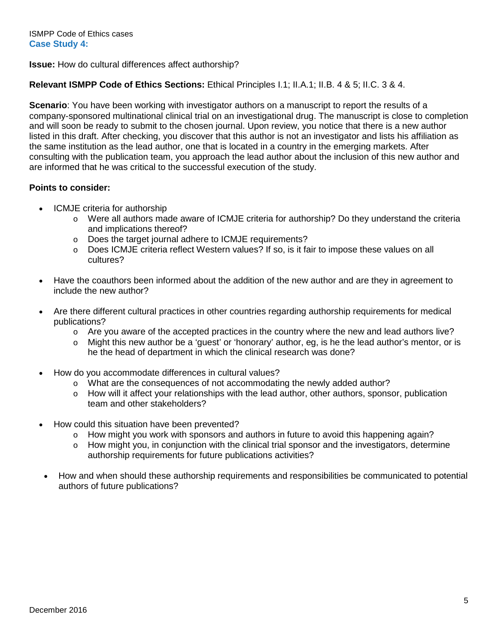**Issue:** How do cultural differences affect authorship?

# **Relevant ISMPP Code of Ethics Sections:** Ethical Principles I.1; II.A.1; II.B. 4 & 5; II.C. 3 & 4.

**Scenario**: You have been working with investigator authors on a manuscript to report the results of a company-sponsored multinational clinical trial on an investigational drug. The manuscript is close to completion and will soon be ready to submit to the chosen journal. Upon review, you notice that there is a new author listed in this draft. After checking, you discover that this author is not an investigator and lists his affiliation as the same institution as the lead author, one that is located in a country in the emerging markets. After consulting with the publication team, you approach the lead author about the inclusion of this new author and are informed that he was critical to the successful execution of the study.

- ICMJE criteria for authorship
	- $\circ$  Were all authors made aware of ICMJE criteria for authorship? Do they understand the criteria and implications thereof?
	- o Does the target journal adhere to ICMJE requirements?
	- o Does ICMJE criteria reflect Western values? If so, is it fair to impose these values on all cultures?
- Have the coauthors been informed about the addition of the new author and are they in agreement to include the new author?
- Are there different cultural practices in other countries regarding authorship requirements for medical publications?
	- $\circ$  Are you aware of the accepted practices in the country where the new and lead authors live?
	- $\circ$  Might this new author be a 'guest' or 'honorary' author, eg, is he the lead author's mentor, or is he the head of department in which the clinical research was done?
- How do you accommodate differences in cultural values?
	- $\circ$  What are the consequences of not accommodating the newly added author?
	- o How will it affect your relationships with the lead author, other authors, sponsor, publication team and other stakeholders?
- How could this situation have been prevented?
	- $\circ$  How might you work with sponsors and authors in future to avoid this happening again?
	- $\circ$  How might you, in conjunction with the clinical trial sponsor and the investigators, determine authorship requirements for future publications activities?
	- How and when should these authorship requirements and responsibilities be communicated to potential authors of future publications?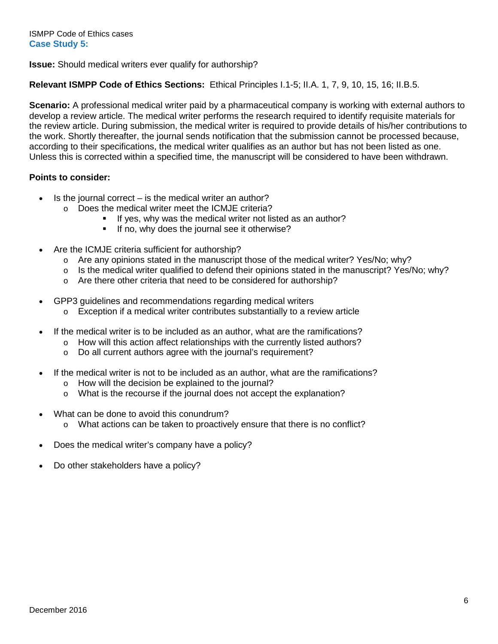**Issue:** Should medical writers ever qualify for authorship?

# **Relevant ISMPP Code of Ethics Sections:** Ethical Principles I.1-5; II.A. 1, 7, 9, 10, 15, 16; II.B.5.

**Scenario:** A professional medical writer paid by a pharmaceutical company is working with external authors to develop a review article. The medical writer performs the research required to identify requisite materials for the review article. During submission, the medical writer is required to provide details of his/her contributions to the work. Shortly thereafter, the journal sends notification that the submission cannot be processed because, according to their specifications, the medical writer qualifies as an author but has not been listed as one. Unless this is corrected within a specified time, the manuscript will be considered to have been withdrawn.

- Is the journal correct  $-$  is the medical writer an author?
	- o Does the medical writer meet the ICMJE criteria?
		- If yes, why was the medical writer not listed as an author?<br>If no, why does the iournal see it otherwise?
		- If no, why does the journal see it otherwise?
- Are the ICMJE criteria sufficient for authorship?
	- $\circ$  Are any opinions stated in the manuscript those of the medical writer? Yes/No; why?
	- $\circ$  Is the medical writer qualified to defend their opinions stated in the manuscript? Yes/No; why?
	- o Are there other criteria that need to be considered for authorship?
- GPP3 guidelines and recommendations regarding medical writers
	- $\circ$  Exception if a medical writer contributes substantially to a review article
- If the medical writer is to be included as an author, what are the ramifications?
	- o How will this action affect relationships with the currently listed authors?
	- o Do all current authors agree with the journal's requirement?
- If the medical writer is not to be included as an author, what are the ramifications?
	- o How will the decision be explained to the journal?
	- o What is the recourse if the journal does not accept the explanation?
- What can be done to avoid this conundrum?
	- o What actions can be taken to proactively ensure that there is no conflict?
- Does the medical writer's company have a policy?
- Do other stakeholders have a policy?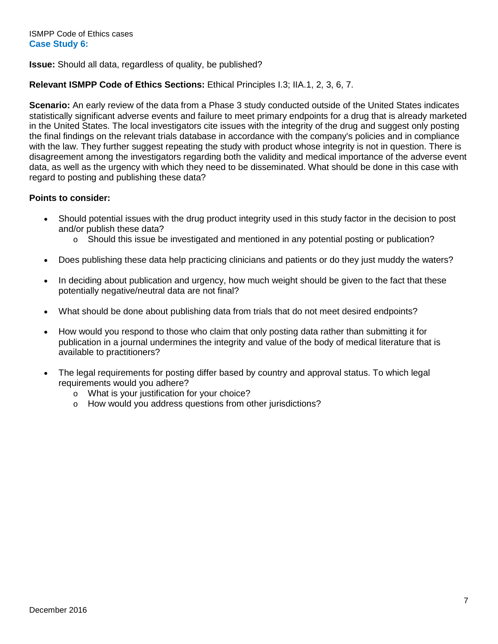# **Issue:** Should all data, regardless of quality, be published?

# **Relevant ISMPP Code of Ethics Sections:** Ethical Principles I.3; IIA.1, 2, 3, 6, 7.

**Scenario:** An early review of the data from a Phase 3 study conducted outside of the United States indicates statistically significant adverse events and failure to meet primary endpoints for a drug that is already marketed in the United States. The local investigators cite issues with the integrity of the drug and suggest only posting the final findings on the relevant trials database in accordance with the company's policies and in compliance with the law. They further suggest repeating the study with product whose integrity is not in question. There is disagreement among the investigators regarding both the validity and medical importance of the adverse event data, as well as the urgency with which they need to be disseminated. What should be done in this case with regard to posting and publishing these data?

- Should potential issues with the drug product integrity used in this study factor in the decision to post and/or publish these data?
	- o Should this issue be investigated and mentioned in any potential posting or publication?
- Does publishing these data help practicing clinicians and patients or do they just muddy the waters?
- In deciding about publication and urgency, how much weight should be given to the fact that these potentially negative/neutral data are not final?
- What should be done about publishing data from trials that do not meet desired endpoints?
- How would you respond to those who claim that only posting data rather than submitting it for publication in a journal undermines the integrity and value of the body of medical literature that is available to practitioners?
- The legal requirements for posting differ based by country and approval status. To which legal requirements would you adhere?
	- o What is your justification for your choice?
	- o How would you address questions from other jurisdictions?